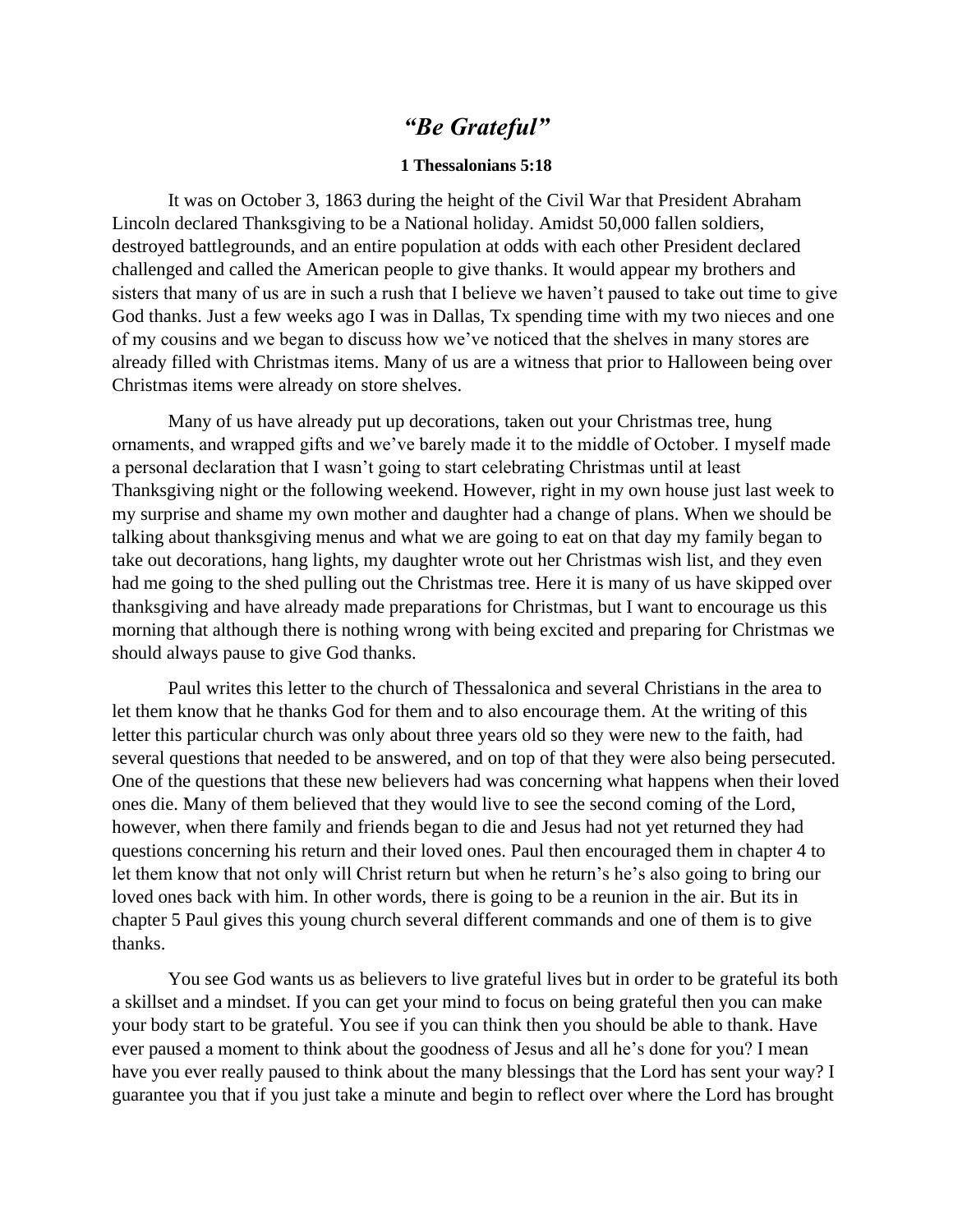## *"Be Grateful"*

## **1 Thessalonians 5:18**

It was on October 3, 1863 during the height of the Civil War that President Abraham Lincoln declared Thanksgiving to be a National holiday. Amidst 50,000 fallen soldiers, destroyed battlegrounds, and an entire population at odds with each other President declared challenged and called the American people to give thanks. It would appear my brothers and sisters that many of us are in such a rush that I believe we haven't paused to take out time to give God thanks. Just a few weeks ago I was in Dallas, Tx spending time with my two nieces and one of my cousins and we began to discuss how we've noticed that the shelves in many stores are already filled with Christmas items. Many of us are a witness that prior to Halloween being over Christmas items were already on store shelves.

Many of us have already put up decorations, taken out your Christmas tree, hung ornaments, and wrapped gifts and we've barely made it to the middle of October. I myself made a personal declaration that I wasn't going to start celebrating Christmas until at least Thanksgiving night or the following weekend. However, right in my own house just last week to my surprise and shame my own mother and daughter had a change of plans. When we should be talking about thanksgiving menus and what we are going to eat on that day my family began to take out decorations, hang lights, my daughter wrote out her Christmas wish list, and they even had me going to the shed pulling out the Christmas tree. Here it is many of us have skipped over thanksgiving and have already made preparations for Christmas, but I want to encourage us this morning that although there is nothing wrong with being excited and preparing for Christmas we should always pause to give God thanks.

Paul writes this letter to the church of Thessalonica and several Christians in the area to let them know that he thanks God for them and to also encourage them. At the writing of this letter this particular church was only about three years old so they were new to the faith, had several questions that needed to be answered, and on top of that they were also being persecuted. One of the questions that these new believers had was concerning what happens when their loved ones die. Many of them believed that they would live to see the second coming of the Lord, however, when there family and friends began to die and Jesus had not yet returned they had questions concerning his return and their loved ones. Paul then encouraged them in chapter 4 to let them know that not only will Christ return but when he return's he's also going to bring our loved ones back with him. In other words, there is going to be a reunion in the air. But its in chapter 5 Paul gives this young church several different commands and one of them is to give thanks.

You see God wants us as believers to live grateful lives but in order to be grateful its both a skillset and a mindset. If you can get your mind to focus on being grateful then you can make your body start to be grateful. You see if you can think then you should be able to thank. Have ever paused a moment to think about the goodness of Jesus and all he's done for you? I mean have you ever really paused to think about the many blessings that the Lord has sent your way? I guarantee you that if you just take a minute and begin to reflect over where the Lord has brought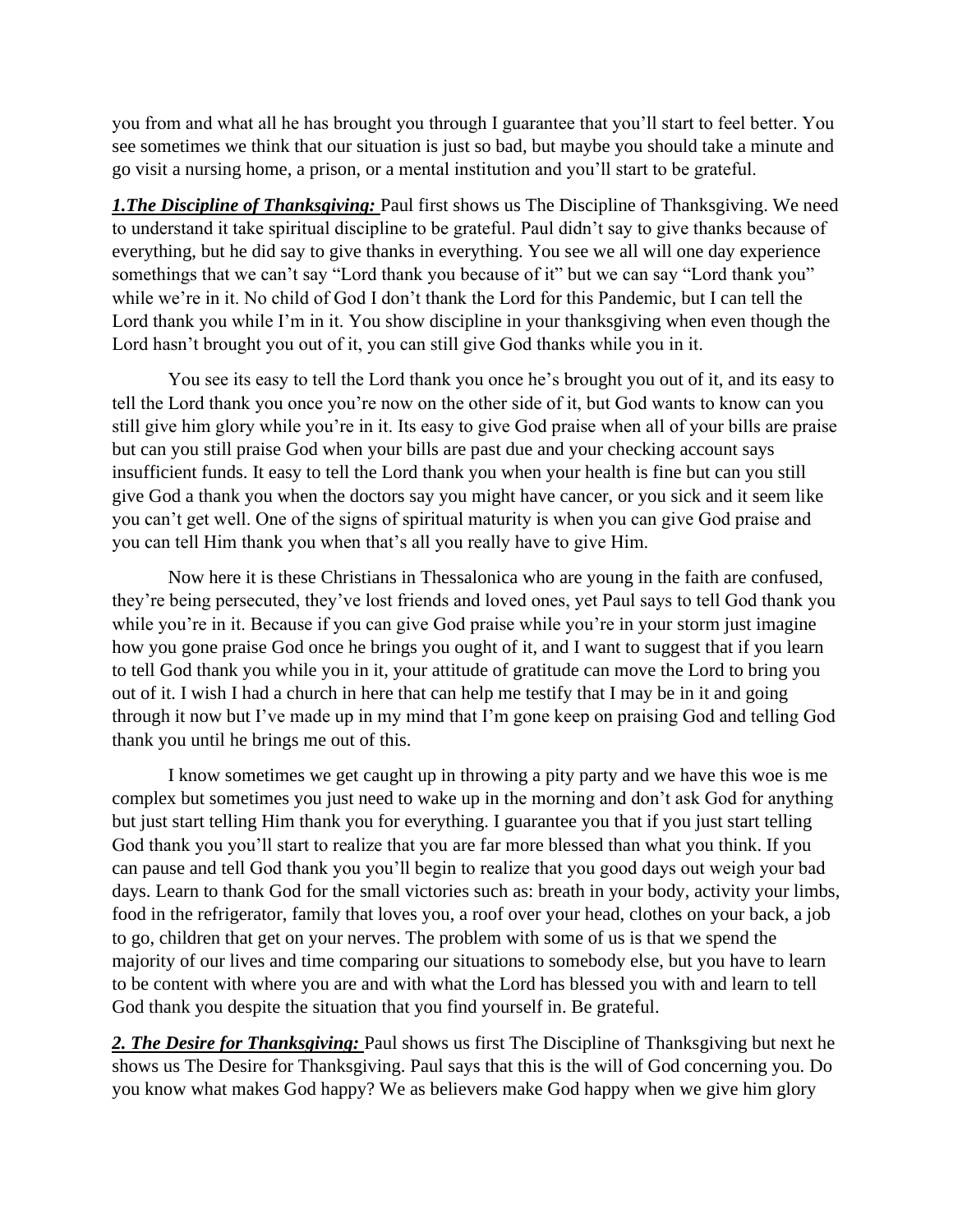you from and what all he has brought you through I guarantee that you'll start to feel better. You see sometimes we think that our situation is just so bad, but maybe you should take a minute and go visit a nursing home, a prison, or a mental institution and you'll start to be grateful.

**1. The Discipline of Thanksgiving:** Paul first shows us The Discipline of Thanksgiving. We need to understand it take spiritual discipline to be grateful. Paul didn't say to give thanks because of everything, but he did say to give thanks in everything. You see we all will one day experience somethings that we can't say "Lord thank you because of it" but we can say "Lord thank you" while we're in it. No child of God I don't thank the Lord for this Pandemic, but I can tell the Lord thank you while I'm in it. You show discipline in your thanksgiving when even though the Lord hasn't brought you out of it, you can still give God thanks while you in it.

You see its easy to tell the Lord thank you once he's brought you out of it, and its easy to tell the Lord thank you once you're now on the other side of it, but God wants to know can you still give him glory while you're in it. Its easy to give God praise when all of your bills are praise but can you still praise God when your bills are past due and your checking account says insufficient funds. It easy to tell the Lord thank you when your health is fine but can you still give God a thank you when the doctors say you might have cancer, or you sick and it seem like you can't get well. One of the signs of spiritual maturity is when you can give God praise and you can tell Him thank you when that's all you really have to give Him.

Now here it is these Christians in Thessalonica who are young in the faith are confused, they're being persecuted, they've lost friends and loved ones, yet Paul says to tell God thank you while you're in it. Because if you can give God praise while you're in your storm just imagine how you gone praise God once he brings you ought of it, and I want to suggest that if you learn to tell God thank you while you in it, your attitude of gratitude can move the Lord to bring you out of it. I wish I had a church in here that can help me testify that I may be in it and going through it now but I've made up in my mind that I'm gone keep on praising God and telling God thank you until he brings me out of this.

I know sometimes we get caught up in throwing a pity party and we have this woe is me complex but sometimes you just need to wake up in the morning and don't ask God for anything but just start telling Him thank you for everything. I guarantee you that if you just start telling God thank you you'll start to realize that you are far more blessed than what you think. If you can pause and tell God thank you you'll begin to realize that you good days out weigh your bad days. Learn to thank God for the small victories such as: breath in your body, activity your limbs, food in the refrigerator, family that loves you, a roof over your head, clothes on your back, a job to go, children that get on your nerves. The problem with some of us is that we spend the majority of our lives and time comparing our situations to somebody else, but you have to learn to be content with where you are and with what the Lord has blessed you with and learn to tell God thank you despite the situation that you find yourself in. Be grateful.

*2. The Desire for Thanksgiving:* Paul shows us first The Discipline of Thanksgiving but next he shows us The Desire for Thanksgiving. Paul says that this is the will of God concerning you. Do you know what makes God happy? We as believers make God happy when we give him glory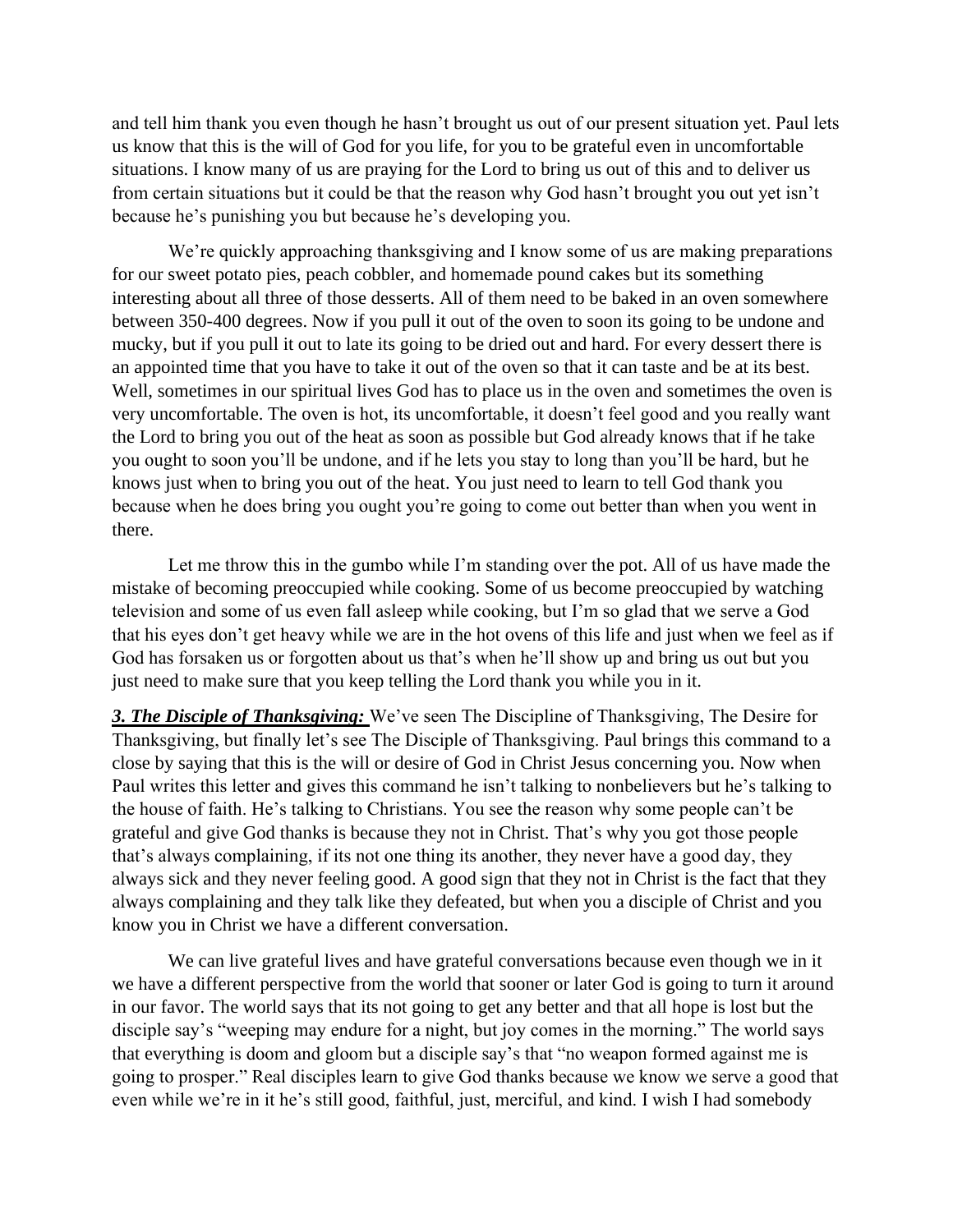and tell him thank you even though he hasn't brought us out of our present situation yet. Paul lets us know that this is the will of God for you life, for you to be grateful even in uncomfortable situations. I know many of us are praying for the Lord to bring us out of this and to deliver us from certain situations but it could be that the reason why God hasn't brought you out yet isn't because he's punishing you but because he's developing you.

We're quickly approaching thanksgiving and I know some of us are making preparations for our sweet potato pies, peach cobbler, and homemade pound cakes but its something interesting about all three of those desserts. All of them need to be baked in an oven somewhere between 350-400 degrees. Now if you pull it out of the oven to soon its going to be undone and mucky, but if you pull it out to late its going to be dried out and hard. For every dessert there is an appointed time that you have to take it out of the oven so that it can taste and be at its best. Well, sometimes in our spiritual lives God has to place us in the oven and sometimes the oven is very uncomfortable. The oven is hot, its uncomfortable, it doesn't feel good and you really want the Lord to bring you out of the heat as soon as possible but God already knows that if he take you ought to soon you'll be undone, and if he lets you stay to long than you'll be hard, but he knows just when to bring you out of the heat. You just need to learn to tell God thank you because when he does bring you ought you're going to come out better than when you went in there.

Let me throw this in the gumbo while I'm standing over the pot. All of us have made the mistake of becoming preoccupied while cooking. Some of us become preoccupied by watching television and some of us even fall asleep while cooking, but I'm so glad that we serve a God that his eyes don't get heavy while we are in the hot ovens of this life and just when we feel as if God has forsaken us or forgotten about us that's when he'll show up and bring us out but you just need to make sure that you keep telling the Lord thank you while you in it.

*3. The Disciple of Thanksgiving:* We've seen The Discipline of Thanksgiving, The Desire for Thanksgiving, but finally let's see The Disciple of Thanksgiving. Paul brings this command to a close by saying that this is the will or desire of God in Christ Jesus concerning you. Now when Paul writes this letter and gives this command he isn't talking to nonbelievers but he's talking to the house of faith. He's talking to Christians. You see the reason why some people can't be grateful and give God thanks is because they not in Christ. That's why you got those people that's always complaining, if its not one thing its another, they never have a good day, they always sick and they never feeling good. A good sign that they not in Christ is the fact that they always complaining and they talk like they defeated, but when you a disciple of Christ and you know you in Christ we have a different conversation.

We can live grateful lives and have grateful conversations because even though we in it we have a different perspective from the world that sooner or later God is going to turn it around in our favor. The world says that its not going to get any better and that all hope is lost but the disciple say's "weeping may endure for a night, but joy comes in the morning." The world says that everything is doom and gloom but a disciple say's that "no weapon formed against me is going to prosper." Real disciples learn to give God thanks because we know we serve a good that even while we're in it he's still good, faithful, just, merciful, and kind. I wish I had somebody